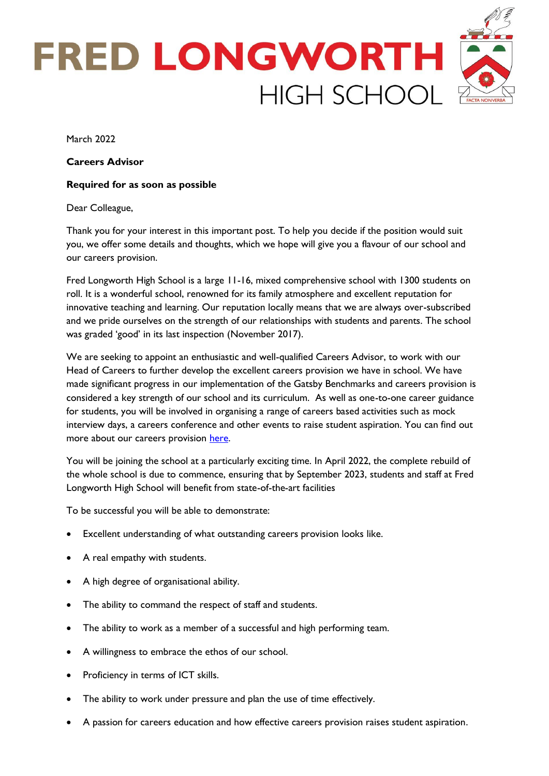

March 2022

**Careers Advisor**

### **Required for as soon as possible**

### Dear Colleague,

Thank you for your interest in this important post. To help you decide if the position would suit you, we offer some details and thoughts, which we hope will give you a flavour of our school and our careers provision.

Fred Longworth High School is a large 11-16, mixed comprehensive school with 1300 students on roll. It is a wonderful school, renowned for its family atmosphere and excellent reputation for innovative teaching and learning. Our reputation locally means that we are always over-subscribed and we pride ourselves on the strength of our relationships with students and parents. The school was graded 'good' in its last inspection (November 2017).

We are seeking to appoint an enthusiastic and well-qualified Careers Advisor, to work with our Head of Careers to further develop the excellent careers provision we have in school. We have made significant progress in our implementation of the Gatsby Benchmarks and careers provision is considered a key strength of our school and its curriculum. As well as one-to-one career guidance for students, you will be involved in organising a range of careers based activities such as mock interview days, a careers conference and other events to raise student aspiration. You can find out more about our careers provision [here.](https://flhs.org.uk/careers-education/)

You will be joining the school at a particularly exciting time. In April 2022, the complete rebuild of the whole school is due to commence, ensuring that by September 2023, students and staff at Fred Longworth High School will benefit from state-of-the-art facilities

To be successful you will be able to demonstrate:

- Excellent understanding of what outstanding careers provision looks like.
- A real empathy with students.
- A high degree of organisational ability.
- The ability to command the respect of staff and students.
- The ability to work as a member of a successful and high performing team.
- A willingness to embrace the ethos of our school.
- Proficiency in terms of ICT skills.
- The ability to work under pressure and plan the use of time effectively.
- A passion for careers education and how effective careers provision raises student aspiration.